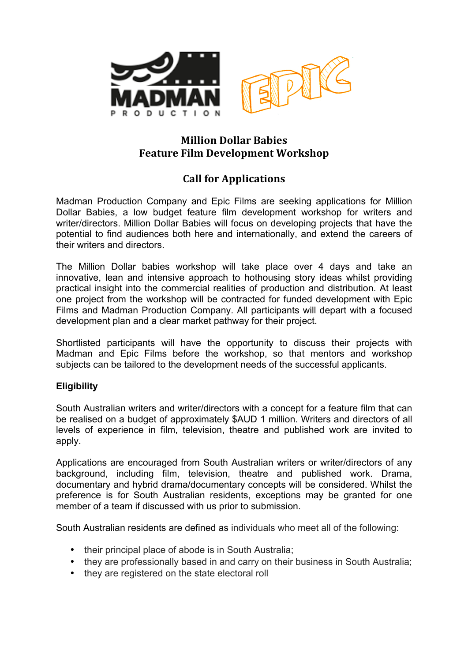

## **Million Dollar Babies Feature Film Development Workshop**

# **Call for Applications**

Madman Production Company and Epic Films are seeking applications for Million Dollar Babies, a low budget feature film development workshop for writers and writer/directors. Million Dollar Babies will focus on developing projects that have the potential to find audiences both here and internationally, and extend the careers of their writers and directors.

The Million Dollar babies workshop will take place over 4 days and take an innovative, lean and intensive approach to hothousing story ideas whilst providing practical insight into the commercial realities of production and distribution. At least one project from the workshop will be contracted for funded development with Epic Films and Madman Production Company. All participants will depart with a focused development plan and a clear market pathway for their project.

Shortlisted participants will have the opportunity to discuss their projects with Madman and Epic Films before the workshop, so that mentors and workshop subjects can be tailored to the development needs of the successful applicants.

## **Eligibility**

South Australian writers and writer/directors with a concept for a feature film that can be realised on a budget of approximately \$AUD 1 million. Writers and directors of all levels of experience in film, television, theatre and published work are invited to apply.

Applications are encouraged from South Australian writers or writer/directors of any background, including film, television, theatre and published work. Drama, documentary and hybrid drama/documentary concepts will be considered. Whilst the preference is for South Australian residents, exceptions may be granted for one member of a team if discussed with us prior to submission.

South Australian residents are defined as individuals who meet all of the following:

- their principal place of abode is in South Australia;
- they are professionally based in and carry on their business in South Australia;
- they are registered on the state electoral roll